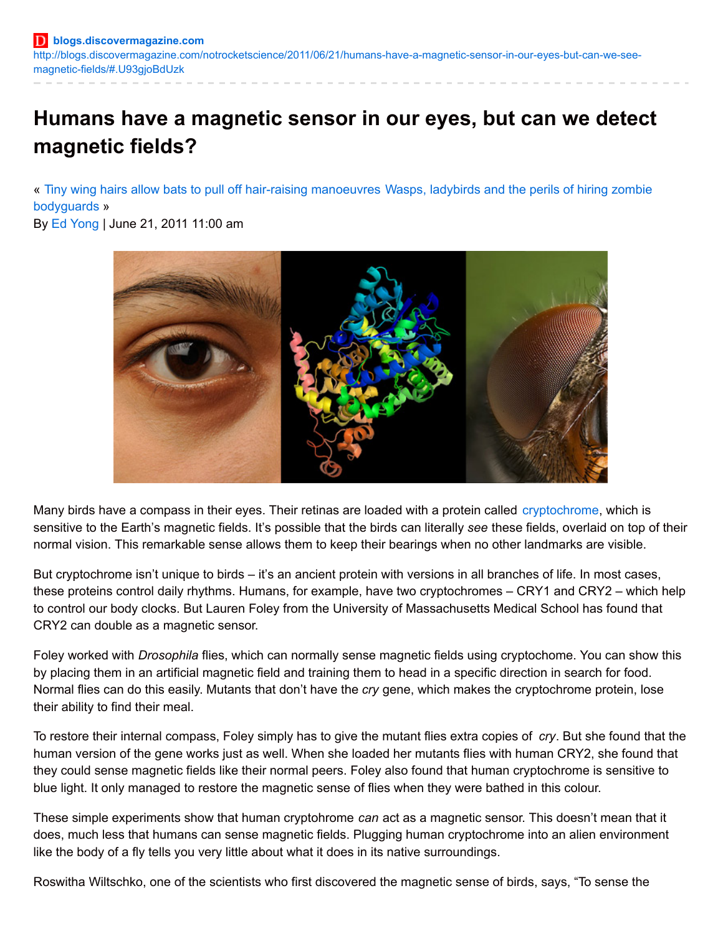# **Humans have a magnetic sensor in our eyes, but can we detect magnetic fields?**

« Tiny wing hairs allow bats to pull off hair-raising [manoeuvres](http://blogs.discovermagazine.com/notrocketscience/2011/06/21/wasps-ladybirds-and-the-perils-of-hiring-zombie-bodyguards/) Wasps, ladybirds and the perils of hiring zombie bodyguards »

By Ed [Yong](http://discovermagazine.com/authors?name=Ed+Yong) | June 21, 2011 11:00 am



Many birds have a compass in their eyes. Their retinas are loaded with a protein called [cryptochrome](http://en.wikipedia.org/wiki/Cryptochrome), which is sensitive to the Earth's magnetic fields. It's possible that the birds can literally *see* these fields, overlaid on top of their normal vision. This remarkable sense allows them to keep their bearings when no other landmarks are visible.

But cryptochrome isn't unique to birds – it's an ancient protein with versions in all branches of life. In most cases, these proteins control daily rhythms. Humans, for example, have two cryptochromes – CRY1 and CRY2 – which help to control our body clocks. But Lauren Foley from the University of Massachusetts Medical School has found that CRY2 can double as a magnetic sensor.

Foley worked with *Drosophila* flies, which can normally sense magnetic fields using cryptochome. You can show this by placing them in an artificial magnetic field and training them to head in a specific direction in search for food. Normal flies can do this easily. Mutants that don't have the *cry* gene, which makes the cryptochrome protein, lose their ability to find their meal.

To restore their internal compass, Foley simply has to give the mutant flies extra copies of *cry*. But she found that the human version of the gene works just as well. When she loaded her mutants flies with human CRY2, she found that they could sense magnetic fields like their normal peers. Foley also found that human cryptochrome is sensitive to blue light. It only managed to restore the magnetic sense of flies when they were bathed in this colour.

These simple experiments show that human cryptohrome *can* act as a magnetic sensor. This doesn't mean that it does, much less that humans can sense magnetic fields. Plugging human cryptochrome into an alien environment like the body of a fly tells you very little about what it does in its native surroundings.

Roswitha Wiltschko, one of the scientists who first discovered the magnetic sense of birds, says, "To sense the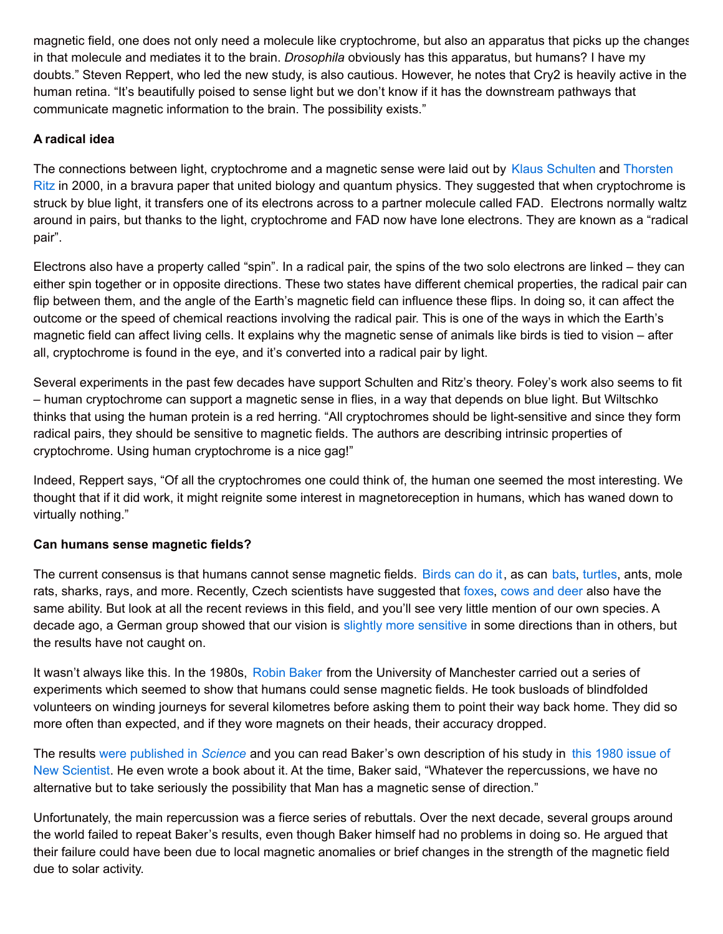magnetic field, one does not only need a molecule like cryptochrome, but also an apparatus that picks up the changes in that molecule and mediates it to the brain. *Drosophila* obviously has this apparatus, but humans? I have my doubts." Steven Reppert, who led the new study, is also cautious. However, he notes that Cry2 is heavily active in the human retina. "It's beautifully poised to sense light but we don't know if it has the downstream pathways that communicate magnetic information to the brain. The possibility exists."

## **A radical idea**

The connections between light, [cryptochrome](http://blogs.discovermagazine.com/notrocketscience/2010/11/25/how-birds-see-magnetic-fields-%E2%80%93-an-interview-with-thorsten-ritz/) and a magnetic sense were laid out by Klaus [Schulten](http://blogs.discovermagazine.com/notrocketscience/2010/11/24/how-birds-see-magnetic-fields-%E2%80%93-an-interview-with-klaus-schulten/) and Thorsten Ritz in 2000, in a bravura paper that united biology and quantum physics. They suggested that when cryptochrome is struck by blue light, it transfers one of its electrons across to a partner molecule called FAD. Electrons normally waltz around in pairs, but thanks to the light, cryptochrome and FAD now have lone electrons. They are known as a "radical pair".

Electrons also have a property called "spin". In a radical pair, the spins of the two solo electrons are linked – they can either spin together or in opposite directions. These two states have different chemical properties, the radical pair can flip between them, and the angle of the Earth's magnetic field can influence these flips. In doing so, it can affect the outcome or the speed of chemical reactions involving the radical pair. This is one of the ways in which the Earth's magnetic field can affect living cells. It explains why the magnetic sense of animals like birds is tied to vision – after all, cryptochrome is found in the eye, and it's converted into a radical pair by light.

Several experiments in the past few decades have support Schulten and Ritz's theory. Foley's work also seems to fit – human cryptochrome can support a magnetic sense in flies, in a way that depends on blue light. But Wiltschko thinks that using the human protein is a red herring. "All cryptochromes should be light-sensitive and since they form radical pairs, they should be sensitive to magnetic fields. The authors are describing intrinsic properties of cryptochrome. Using human cryptochrome is a nice gag!"

Indeed, Reppert says, "Of all the cryptochromes one could think of, the human one seemed the most interesting. We thought that if it did work, it might reignite some interest in magnetoreception in humans, which has waned down to virtually nothing."

### **Can humans sense magnetic fields?**

The current consensus is that humans cannot sense magnetic fields. [Birds](http://blogs.discovermagazine.com/notrocketscience/2010/11/24/how-birds-see-magnetic-fields-%E2%80%93-an-interview-with-klaus-schulten/) can do it, as can [bats](http://blogs.discovermagazine.com/notrocketscience/2008/07/26/bats-compasses-tongues-and-memories/), [turtles](http://blogs.discovermagazine.com/notrocketscience/2011/02/24/turtles-use-the-earth%E2%80%99s-magnetic-field-as-a-global-gps/), ants, mole rats, sharks, rays, and more. Recently, Czech scientists have suggested that [foxes](http://blogs.discovermagazine.com/notrocketscience/2011/01/11/foxes-use-the-earth%E2%80%99s-magnetic-field-as-a-targeting-system/), [cows](http://blogs.discovermagazine.com/notrocketscience/2008/08/25/google-earth-shows-that-cow-and-deer-herds-align-like-compass-needles/) and deer also have the same ability. But look at all the recent reviews in this field, and you'll see very little mention of our own species. A decade ago, a German group showed that our vision is slightly more [sensitive](http://www.ncbi.nlm.nih.gov/pubmed/11976892) in some directions than in others, but the results have not caught on.

It wasn't always like this. In the 1980s, Robin [Baker](http://www.robin-baker.com/) from the University of Manchester carried out a series of experiments which seemed to show that humans could sense magnetic fields. He took busloads of blindfolded volunteers on winding journeys for several kilometres before asking them to point their way back home. They did so more often than expected, and if they wore magnets on their heads, their accuracy dropped.

The results were [published](http://www.ncbi.nlm.nih.gov/pubmed/7423208) in *Science* and you can read Baker's own description of his study in this 1980 issue of New Scientist. He even wrote a book about it. At the time, Baker said, "Whatever the [repercussions,](http://books.google.co.uk/books?id=FMQQnijnhsUC&pg=PA844&dq=robin+baker+new+scientist+magnetic&hl=en&ei=GU79TfWdD5Hxsgbo_q3zDQ&sa=X&oi=book_result&ct=result&resnum=9&ved=0CE0Q6AEwCA#v=onepage&q=robin baker new scientist magnetic&f=false) we have no alternative but to take seriously the possibility that Man has a magnetic sense of direction."

Unfortunately, the main repercussion was a fierce series of rebuttals. Over the next decade, several groups around the world failed to repeat Baker's results, even though Baker himself had no problems in doing so. He argued that their failure could have been due to local magnetic anomalies or brief changes in the strength of the magnetic field due to solar activity.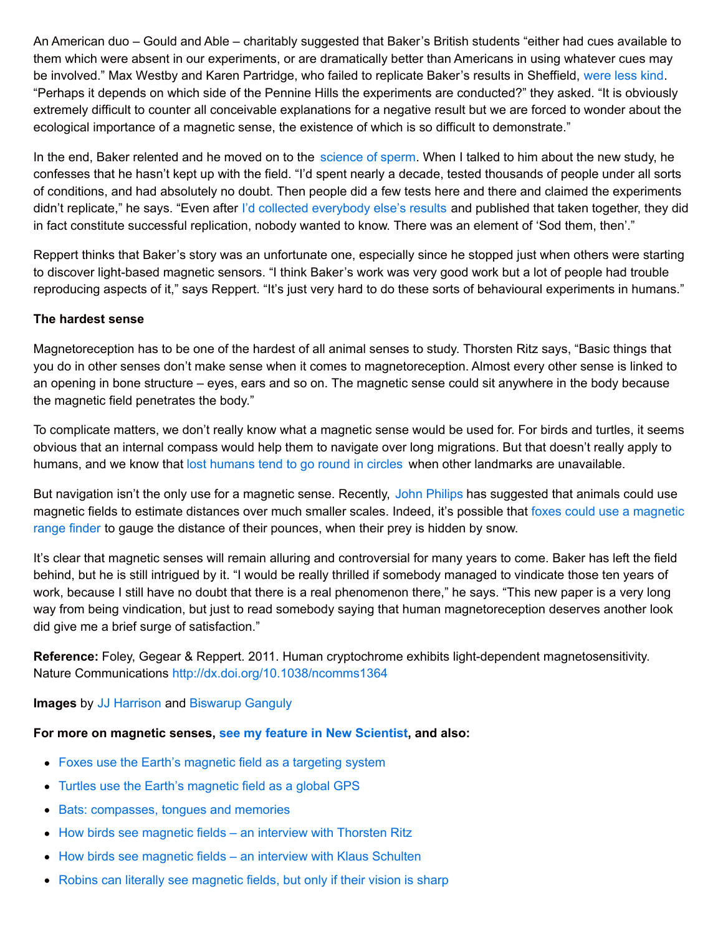An American duo – Gould and Able – charitably suggested that Baker's British students "either had cues available to them which were absent in our experiments, or are dramatically better than Americans in using whatever cues may be involved." Max Westby and Karen Partridge, who failed to replicate Baker's results in Sheffield, [were](http://jeb.biologists.org/content/120/1/325.full.pdf) less kind. "Perhaps it depends on which side of the Pennine Hills the experiments are conducted?" they asked. "It is obviously extremely difficult to counter all conceivable explanations for a negative result but we are forced to wonder about the ecological importance of a magnetic sense, the existence of which is so difficult to demonstrate."

In the end, Baker relented and he moved on to the [science](http://www.robin-baker.com/) of sperm. When I talked to him about the new study, he confesses that he hasn't kept up with the field. "I'd spent nearly a decade, tested thousands of people under all sorts of conditions, and had absolutely no doubt. Then people did a few tests here and there and claimed the experiments didn't replicate," he says. "Even after I'd collected [everybody](http://www.sciencedirect.com/science/article/pii/S0003347287801057) else's results and published that taken together, they did in fact constitute successful replication, nobody wanted to know. There was an element of 'Sod them, then'."

Reppert thinks that Baker's story was an unfortunate one, especially since he stopped just when others were starting to discover light-based magnetic sensors. "I think Baker's work was very good work but a lot of people had trouble reproducing aspects of it," says Reppert. "It's just very hard to do these sorts of behavioural experiments in humans."

#### **The hardest sense**

Magnetoreception has to be one of the hardest of all animal senses to study. Thorsten Ritz says, "Basic things that you do in other senses don't make sense when it comes to magnetoreception. Almost every other sense is linked to an opening in bone structure – eyes, ears and so on. The magnetic sense could sit anywhere in the body because the magnetic field penetrates the body."

To complicate matters, we don't really know what a magnetic sense would be used for. For birds and turtles, it seems obvious that an internal compass would help them to navigate over long migrations. But that doesn't really apply to humans, and we know that lost [humans](http://blogs.discovermagazine.com/notrocketscience/2009/08/20/do-lost-people-really-go-round-in-circles/) tend to go round in circles when other landmarks are unavailable.

But navigation isn't the only use for a magnetic sense. Recently, John [Philips](http://www.biol.vt.edu/faculty/phillips/behavlab/) has suggested that animals could use magnetic fields to estimate [distances](http://blogs.discovermagazine.com/notrocketscience/2011/01/11/foxes-use-the-earth%E2%80%99s-magnetic-field-as-a-targeting-system/) over much smaller scales. Indeed, it's possible that foxes could use a magnetic range finder to gauge the distance of their pounces, when their prey is hidden by snow.

It's clear that magnetic senses will remain alluring and controversial for many years to come. Baker has left the field behind, but he is still intrigued by it. "I would be really thrilled if somebody managed to vindicate those ten years of work, because I still have no doubt that there is a real phenomenon there," he says. "This new paper is a very long way from being vindication, but just to read somebody saying that human magnetoreception deserves another look did give me a brief surge of satisfaction."

**Reference:** Foley, Gegear & Reppert. 2011. Human cryptochrome exhibits light-dependent magnetosensitivity. Nature Communications <http://dx.doi.org/10.1038/ncomms1364>

**Images** by JJ [Harrison](http://en.wikipedia.org/wiki/File:Calliphora_vomitoria_Portrait.jpg) and [Biswarup](http://commons.wikimedia.org/wiki/File:Eye_5787.JPG) Ganguly

#### **For more on magnetic senses, see my feature in New [Scientist](http://blogs.discovermagazine.com/notrocketscience/files/2011/06/2010-11-27-Seeing-Magnetism.pdf), and also:**

- Foxes use the Earth's [magnetic](http://blogs.discovermagazine.com/notrocketscience/2011/01/11/foxes-use-the-earth%e2%80%99s-magnetic-field-as-a-targeting-system/) field as a targeting system
- Turtles use the Earth's [magnetic](http://blogs.discovermagazine.com/notrocketscience/2011/02/24/turtles-use-the-earth%e2%80%99s-magnetic-field-as-a-global-gps/) field as a global GPS
- Bats: [compasses,](http://blogs.discovermagazine.com/notrocketscience/2008/07/26/bats-compasses-tongues-and-memories/) tongues and memories
- How birds see [magnetic](http://blogs.discovermagazine.com/notrocketscience/2010/11/25/how-birds-see-magnetic-fields-%e2%80%93-an-interview-with-thorsten-ritz/) fields an interview with Thorsten Ritz
- How birds see [magnetic](http://blogs.discovermagazine.com/notrocketscience/2010/11/24/how-birds-see-magnetic-fields-%e2%80%93-an-interview-with-klaus-schulten/) fields an interview with Klaus Schulten
- Robins can literally see [magnetic](http://blogs.discovermagazine.com/notrocketscience/2010/07/08/robins-can-literally-see-magnetic-fields-but-only-if-their-vision-is-sharp/) fields, but only if their vision is sharp